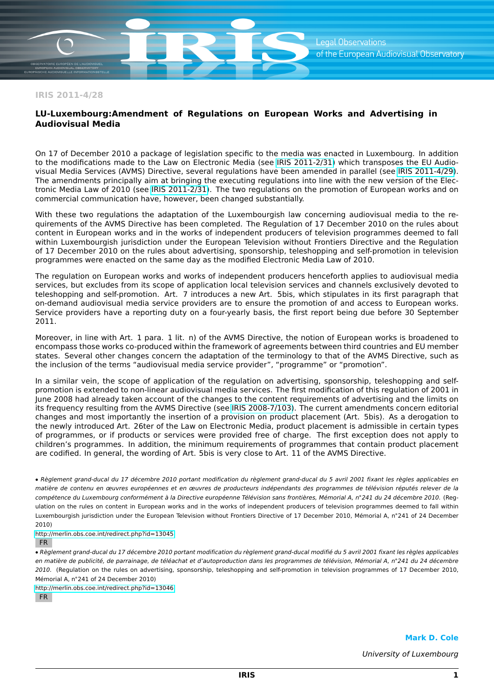**IRIS 2011-4/28**

## **LU-Luxembourg:Amendment of Regulations on European Works and Advertising in Audiovisual Media**

On 17 of December 2010 a package of legislation specific to the media was enacted in Luxembourg. In addition to the modifications made to the Law on Electronic Media (see [IRIS 2011-2/31\)](http://merlin.obs.coe.int/cgi-bin/show_iris_link.php?language=en&iris_link=2011-2/31&id=13076) which transposes the EU Audiovisual Media Services (AVMS) Directive, several regulations have been amended in parallel (see [IRIS 2011-4/29\)](http://merlin.obs.coe.int/cgi-bin/show_iris_link.php?language=en&iris_link=2011-4/29&id=13076). The amendments principally aim at bringing the executing regulations into line with the new version of the Electronic Media Law of 2010 (see [IRIS 2011-2/31\)](http://merlin.obs.coe.int/cgi-bin/show_iris_link.php?language=en&iris_link=2011-2/31&id=13076). The two regulations on the promotion of European works and on commercial communication have, however, been changed substantially.

With these two regulations the adaptation of the Luxembourgish law concerning audiovisual media to the requirements of the AVMS Directive has been completed. The Regulation of 17 December 2010 on the rules about content in European works and in the works of independent producers of television programmes deemed to fall within Luxembourgish jurisdiction under the European Television without Frontiers Directive and the Regulation of 17 December 2010 on the rules about advertising, sponsorship, teleshopping and self-promotion in television programmes were enacted on the same day as the modified Electronic Media Law of 2010.

The regulation on European works and works of independent producers henceforth applies to audiovisual media services, but excludes from its scope of application local television services and channels exclusively devoted to teleshopping and self-promotion. Art. 7 introduces a new Art. 5bis, which stipulates in its first paragraph that on-demand audiovisual media service providers are to ensure the promotion of and access to European works. Service providers have a reporting duty on a four-yearly basis, the first report being due before 30 September 2011.

Moreover, in line with Art. 1 para. 1 lit. n) of the AVMS Directive, the notion of European works is broadened to encompass those works co-produced within the framework of agreements between third countries and EU member states. Several other changes concern the adaptation of the terminology to that of the AVMS Directive, such as the inclusion of the terms "audiovisual media service provider", "programme" or "promotion".

In a similar vein, the scope of application of the regulation on advertising, sponsorship, teleshopping and selfpromotion is extended to non-linear audiovisual media services. The first modification of this regulation of 2001 in June 2008 had already taken account of the changes to the content requirements of advertising and the limits on its frequency resulting from the AVMS Directive (see [IRIS 2008-7/103\)](http://merlin.obs.coe.int/cgi-bin/show_iris_link.php?language=en&iris_link=2008-7/103&id=13076). The current amendments concern editorial changes and most importantly the insertion of a provision on product placement (Art. 5bis). As a derogation to the newly introduced Art. 26ter of the Law on Electronic Media, product placement is admissible in certain types of programmes, or if products or services were provided free of charge. The first exception does not apply to children's programmes. In addition, the minimum requirements of programmes that contain product placement are codified. In general, the wording of Art. 5bis is very close to Art. 11 of the AVMS Directive.

**•** Règlement grand-ducal du 17 décembre 2010 portant modification du règlement grand-ducal du 5 avril 2001 fixant les règles applicables en matière de contenu en œuvres européennes et en œuvres de producteurs indépendants des programmes de télévision réputés relever de la compétence du Luxembourg conformément à la Directive européenne Télévision sans frontières, Mémorial A, n**◦**241 du 24 décembre 2010. (Regulation on the rules on content in European works and in the works of independent producers of television programmes deemed to fall within Luxembourgish jurisdiction under the European Television without Frontiers Directive of 17 December 2010, Mémorial A, n**◦**241 of 24 December 2010)

<http://merlin.obs.coe.int/redirect.php?id=13045>

FR

**•** Règlement grand-ducal du 17 décembre 2010 portant modification du règlement grand-ducal modifié du 5 avril 2001 fixant les règles applicables en matière de publicité, de parrainage, de téléachat et d'autoproduction dans les programmes de télévision, Mémorial A, n**◦**241 du 24 décembre 2010. (Regulation on the rules on advertising, sponsorship, teleshopping and self-promotion in television programmes of 17 December 2010, Mémorial A, n**◦**241 of 24 December 2010)

<http://merlin.obs.coe.int/redirect.php?id=13046>

FR

**Mark D. Cole**

University of Luxembourg